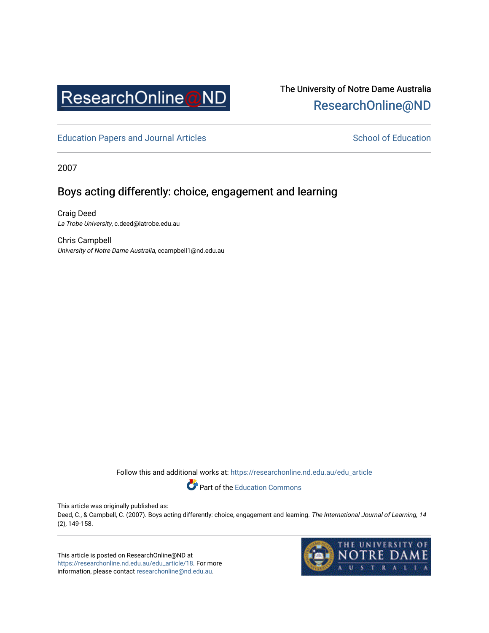

# The University of Notre Dame Australia [ResearchOnline@ND](https://researchonline.nd.edu.au/)

[Education Papers and Journal Articles](https://researchonline.nd.edu.au/edu_article) [School of Education](https://researchonline.nd.edu.au/edu) School of Education

2007

## Boys acting differently: choice, engagement and learning

Craig Deed La Trobe University, c.deed@latrobe.edu.au

Chris Campbell University of Notre Dame Australia, ccampbell1@nd.edu.au

Follow this and additional works at: [https://researchonline.nd.edu.au/edu\\_article](https://researchonline.nd.edu.au/edu_article?utm_source=researchonline.nd.edu.au%2Fedu_article%2F18&utm_medium=PDF&utm_campaign=PDFCoverPages)

Part of the [Education Commons](http://network.bepress.com/hgg/discipline/784?utm_source=researchonline.nd.edu.au%2Fedu_article%2F18&utm_medium=PDF&utm_campaign=PDFCoverPages) 

This article was originally published as:

Deed, C., & Campbell, C. (2007). Boys acting differently: choice, engagement and learning. The International Journal of Learning, 14 (2), 149-158.

This article is posted on ResearchOnline@ND at [https://researchonline.nd.edu.au/edu\\_article/18.](https://researchonline.nd.edu.au/edu_article/18) For more information, please contact [researchonline@nd.edu.au.](mailto:researchonline@nd.edu.au)

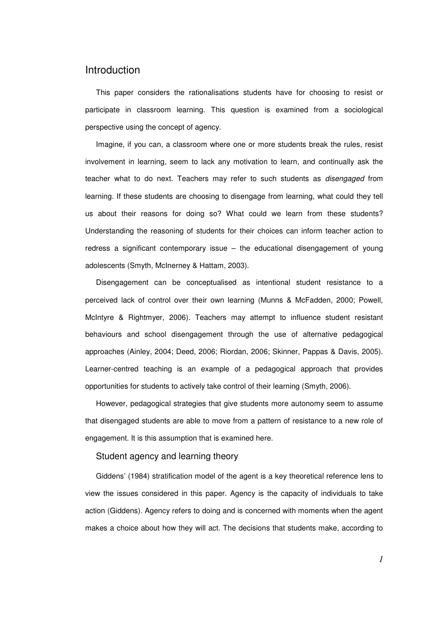### Introduction

This paper considers the rationalisations students have for choosing to resist or participate in classroom learning. This question is examined from a sociological perspective using the concept of agency.

Imagine, if you can, a classroom where one or more students break the rules, resist involvement in learning, seem to lack any motivation to learn, and continually ask the teacher what to do next. Teachers may refer to such students as *disengaged* from learning. If these students are choosing to disengage from learning, what could they tell us about their reasons for doing so? What could we learn from these students? Understanding the reasoning of students for their choices can inform teacher action to redress a significant contemporary issue – the educational disengagement of young adolescents (Smyth, McInerney & Hattam, 2003).

Disengagement can be conceptualised as intentional student resistance to a perceived lack of control over their own learning (Munns & McFadden, 2000; Powell, McIntyre & Rightmyer, 2006). Teachers may attempt to influence student resistant behaviours and school disengagement through the use of alternative pedagogical approaches (Ainley, 2004; Deed, 2006; Riordan, 2006; Skinner, Pappas & Davis, 2005). Learner-centred teaching is an example of a pedagogical approach that provides opportunities for students to actively take control of their learning (Smyth, 2006).

However, pedagogical strategies that give students more autonomy seem to assume that disengaged students are able to move from a pattern of resistance to a new role of engagement. It is this assumption that is examined here.

#### Student agency and learning theory

Giddens' (1984) stratification model of the agent is a key theoretical reference lens to view the issues considered in this paper. Agency is the capacity of individuals to take action (Giddens). Agency refers to doing and is concerned with moments when the agent makes a choice about how they will act. The decisions that students make, according to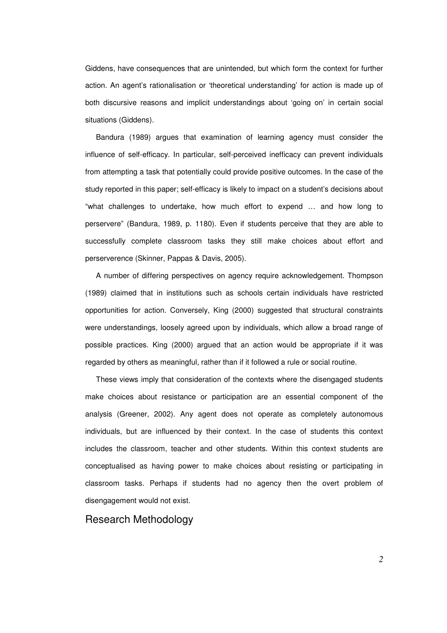Giddens, have consequences that are unintended, but which form the context for further action. An agent's rationalisation or 'theoretical understanding' for action is made up of both discursive reasons and implicit understandings about 'going on' in certain social situations (Giddens).

Bandura (1989) argues that examination of learning agency must consider the influence of self-efficacy. In particular, self-perceived inefficacy can prevent individuals from attempting a task that potentially could provide positive outcomes. In the case of the study reported in this paper; self-efficacy is likely to impact on a student's decisions about "what challenges to undertake, how much effort to expend … and how long to perservere" (Bandura, 1989, p. 1180). Even if students perceive that they are able to successfully complete classroom tasks they still make choices about effort and perserverence (Skinner, Pappas & Davis, 2005).

A number of differing perspectives on agency require acknowledgement. Thompson (1989) claimed that in institutions such as schools certain individuals have restricted opportunities for action. Conversely, King (2000) suggested that structural constraints were understandings, loosely agreed upon by individuals, which allow a broad range of possible practices. King (2000) argued that an action would be appropriate if it was regarded by others as meaningful, rather than if it followed a rule or social routine.

These views imply that consideration of the contexts where the disengaged students make choices about resistance or participation are an essential component of the analysis (Greener, 2002). Any agent does not operate as completely autonomous individuals, but are influenced by their context. In the case of students this context includes the classroom, teacher and other students. Within this context students are conceptualised as having power to make choices about resisting or participating in classroom tasks. Perhaps if students had no agency then the overt problem of disengagement would not exist.

Research Methodology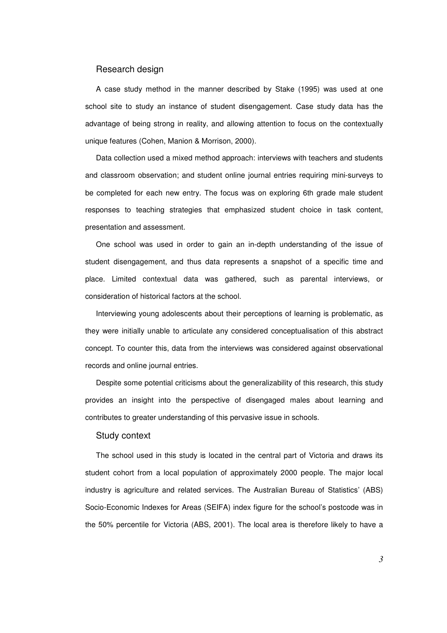#### Research design

A case study method in the manner described by Stake (1995) was used at one school site to study an instance of student disengagement. Case study data has the advantage of being strong in reality, and allowing attention to focus on the contextually unique features (Cohen, Manion & Morrison, 2000).

Data collection used a mixed method approach: interviews with teachers and students and classroom observation; and student online journal entries requiring mini-surveys to be completed for each new entry. The focus was on exploring 6th grade male student responses to teaching strategies that emphasized student choice in task content, presentation and assessment.

One school was used in order to gain an in-depth understanding of the issue of student disengagement, and thus data represents a snapshot of a specific time and place. Limited contextual data was gathered, such as parental interviews, or consideration of historical factors at the school.

Interviewing young adolescents about their perceptions of learning is problematic, as they were initially unable to articulate any considered conceptualisation of this abstract concept. To counter this, data from the interviews was considered against observational records and online journal entries.

Despite some potential criticisms about the generalizability of this research, this study provides an insight into the perspective of disengaged males about learning and contributes to greater understanding of this pervasive issue in schools.

#### Study context

The school used in this study is located in the central part of Victoria and draws its student cohort from a local population of approximately 2000 people. The major local industry is agriculture and related services. The Australian Bureau of Statistics' (ABS) Socio-Economic Indexes for Areas (SEIFA) index figure for the school's postcode was in the 50% percentile for Victoria (ABS, 2001). The local area is therefore likely to have a

*3*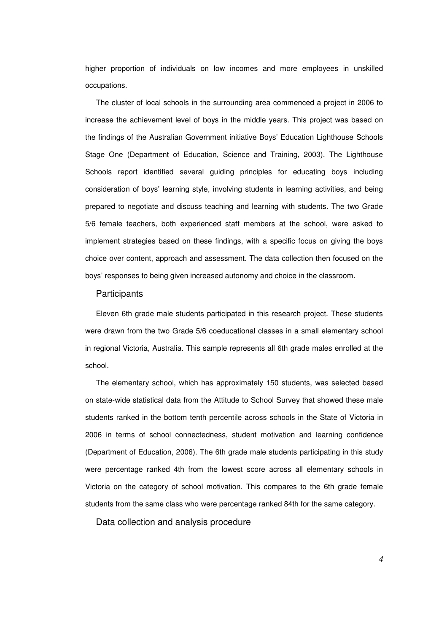higher proportion of individuals on low incomes and more employees in unskilled occupations.

The cluster of local schools in the surrounding area commenced a project in 2006 to increase the achievement level of boys in the middle years. This project was based on the findings of the Australian Government initiative Boys' Education Lighthouse Schools Stage One (Department of Education, Science and Training, 2003). The Lighthouse Schools report identified several guiding principles for educating boys including consideration of boys' learning style, involving students in learning activities, and being prepared to negotiate and discuss teaching and learning with students. The two Grade 5/6 female teachers, both experienced staff members at the school, were asked to implement strategies based on these findings, with a specific focus on giving the boys choice over content, approach and assessment. The data collection then focused on the boys' responses to being given increased autonomy and choice in the classroom.

#### **Participants**

Eleven 6th grade male students participated in this research project. These students were drawn from the two Grade 5/6 coeducational classes in a small elementary school in regional Victoria, Australia. This sample represents all 6th grade males enrolled at the school.

The elementary school, which has approximately 150 students, was selected based on state-wide statistical data from the Attitude to School Survey that showed these male students ranked in the bottom tenth percentile across schools in the State of Victoria in 2006 in terms of school connectedness, student motivation and learning confidence (Department of Education, 2006). The 6th grade male students participating in this study were percentage ranked 4th from the lowest score across all elementary schools in Victoria on the category of school motivation. This compares to the 6th grade female students from the same class who were percentage ranked 84th for the same category.

Data collection and analysis procedure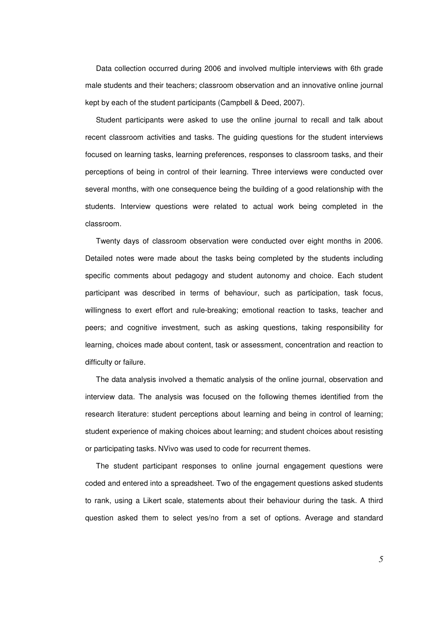Data collection occurred during 2006 and involved multiple interviews with 6th grade male students and their teachers; classroom observation and an innovative online journal kept by each of the student participants (Campbell & Deed, 2007).

Student participants were asked to use the online journal to recall and talk about recent classroom activities and tasks. The guiding questions for the student interviews focused on learning tasks, learning preferences, responses to classroom tasks, and their perceptions of being in control of their learning. Three interviews were conducted over several months, with one consequence being the building of a good relationship with the students. Interview questions were related to actual work being completed in the classroom.

Twenty days of classroom observation were conducted over eight months in 2006. Detailed notes were made about the tasks being completed by the students including specific comments about pedagogy and student autonomy and choice. Each student participant was described in terms of behaviour, such as participation, task focus, willingness to exert effort and rule-breaking; emotional reaction to tasks, teacher and peers; and cognitive investment, such as asking questions, taking responsibility for learning, choices made about content, task or assessment, concentration and reaction to difficulty or failure.

The data analysis involved a thematic analysis of the online journal, observation and interview data. The analysis was focused on the following themes identified from the research literature: student perceptions about learning and being in control of learning; student experience of making choices about learning; and student choices about resisting or participating tasks. NVivo was used to code for recurrent themes.

The student participant responses to online journal engagement questions were coded and entered into a spreadsheet. Two of the engagement questions asked students to rank, using a Likert scale, statements about their behaviour during the task. A third question asked them to select yes/no from a set of options. Average and standard

*5*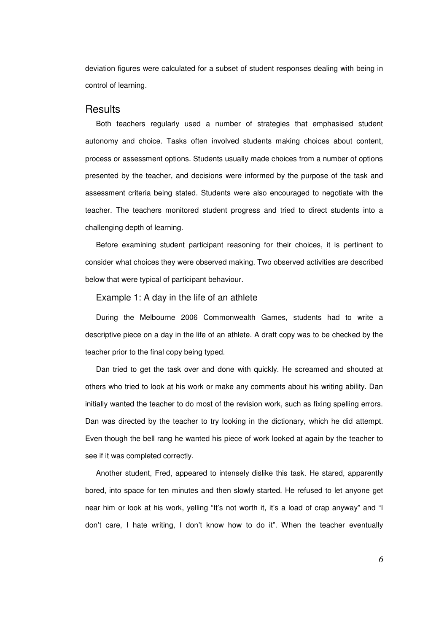deviation figures were calculated for a subset of student responses dealing with being in control of learning.

#### **Results**

Both teachers regularly used a number of strategies that emphasised student autonomy and choice. Tasks often involved students making choices about content, process or assessment options. Students usually made choices from a number of options presented by the teacher, and decisions were informed by the purpose of the task and assessment criteria being stated. Students were also encouraged to negotiate with the teacher. The teachers monitored student progress and tried to direct students into a challenging depth of learning.

Before examining student participant reasoning for their choices, it is pertinent to consider what choices they were observed making. Two observed activities are described below that were typical of participant behaviour.

#### Example 1: A day in the life of an athlete

During the Melbourne 2006 Commonwealth Games, students had to write a descriptive piece on a day in the life of an athlete. A draft copy was to be checked by the teacher prior to the final copy being typed.

Dan tried to get the task over and done with quickly. He screamed and shouted at others who tried to look at his work or make any comments about his writing ability. Dan initially wanted the teacher to do most of the revision work, such as fixing spelling errors. Dan was directed by the teacher to try looking in the dictionary, which he did attempt. Even though the bell rang he wanted his piece of work looked at again by the teacher to see if it was completed correctly.

Another student, Fred, appeared to intensely dislike this task. He stared, apparently bored, into space for ten minutes and then slowly started. He refused to let anyone get near him or look at his work, yelling "It's not worth it, it's a load of crap anyway" and "I don't care, I hate writing, I don't know how to do it". When the teacher eventually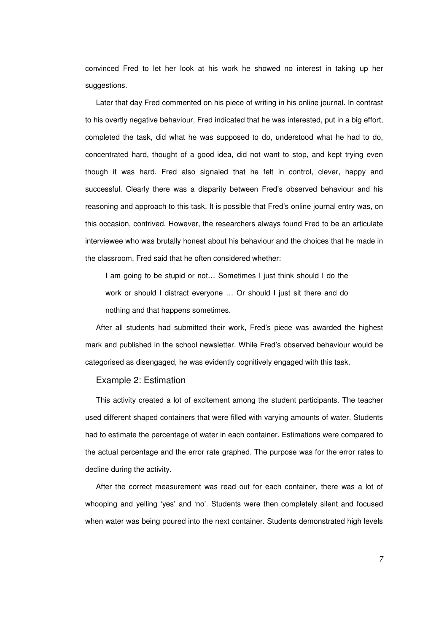convinced Fred to let her look at his work he showed no interest in taking up her suggestions.

Later that day Fred commented on his piece of writing in his online journal. In contrast to his overtly negative behaviour, Fred indicated that he was interested, put in a big effort, completed the task, did what he was supposed to do, understood what he had to do, concentrated hard, thought of a good idea, did not want to stop, and kept trying even though it was hard. Fred also signaled that he felt in control, clever, happy and successful. Clearly there was a disparity between Fred's observed behaviour and his reasoning and approach to this task. It is possible that Fred's online journal entry was, on this occasion, contrived. However, the researchers always found Fred to be an articulate interviewee who was brutally honest about his behaviour and the choices that he made in the classroom. Fred said that he often considered whether:

I am going to be stupid or not… Sometimes I just think should I do the work or should I distract everyone ... Or should I just sit there and do nothing and that happens sometimes.

After all students had submitted their work, Fred's piece was awarded the highest mark and published in the school newsletter. While Fred's observed behaviour would be categorised as disengaged, he was evidently cognitively engaged with this task.

#### Example 2: Estimation

This activity created a lot of excitement among the student participants. The teacher used different shaped containers that were filled with varying amounts of water. Students had to estimate the percentage of water in each container. Estimations were compared to the actual percentage and the error rate graphed. The purpose was for the error rates to decline during the activity.

After the correct measurement was read out for each container, there was a lot of whooping and yelling 'yes' and 'no'. Students were then completely silent and focused when water was being poured into the next container. Students demonstrated high levels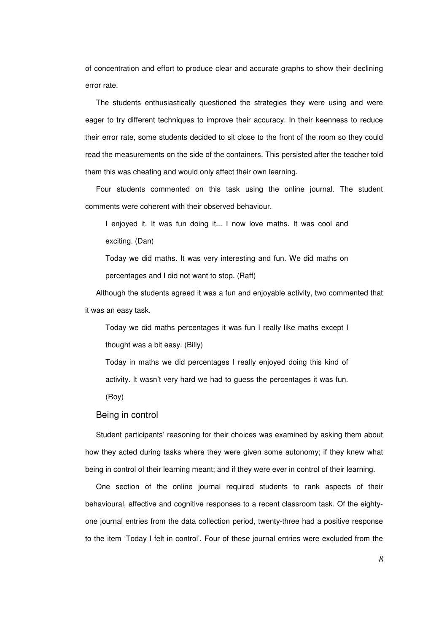of concentration and effort to produce clear and accurate graphs to show their declining error rate.

The students enthusiastically questioned the strategies they were using and were eager to try different techniques to improve their accuracy. In their keenness to reduce their error rate, some students decided to sit close to the front of the room so they could read the measurements on the side of the containers. This persisted after the teacher told them this was cheating and would only affect their own learning.

Four students commented on this task using the online journal. The student comments were coherent with their observed behaviour.

I enjoyed it. It was fun doing it... I now love maths. It was cool and exciting. (Dan)

Today we did maths. It was very interesting and fun. We did maths on percentages and I did not want to stop. (Raff)

Although the students agreed it was a fun and enjoyable activity, two commented that it was an easy task.

Today we did maths percentages it was fun I really like maths except I thought was a bit easy. (Billy)

Today in maths we did percentages I really enjoyed doing this kind of activity. It wasn't very hard we had to guess the percentages it was fun.

(Roy)

#### Being in control

Student participants' reasoning for their choices was examined by asking them about how they acted during tasks where they were given some autonomy; if they knew what being in control of their learning meant; and if they were ever in control of their learning.

One section of the online journal required students to rank aspects of their behavioural, affective and cognitive responses to a recent classroom task. Of the eightyone journal entries from the data collection period, twenty-three had a positive response to the item 'Today I felt in control'. Four of these journal entries were excluded from the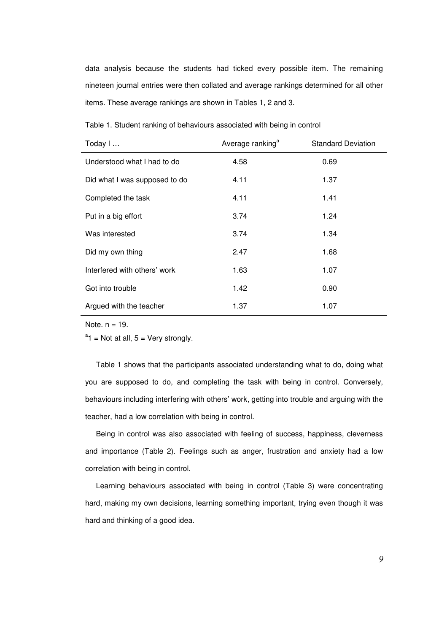data analysis because the students had ticked every possible item. The remaining nineteen journal entries were then collated and average rankings determined for all other items. These average rankings are shown in Tables 1, 2 and 3.

| Today I                       | Average ranking <sup>a</sup> | <b>Standard Deviation</b> |
|-------------------------------|------------------------------|---------------------------|
| Understood what I had to do   | 4.58                         | 0.69                      |
| Did what I was supposed to do | 4.11                         | 1.37                      |
| Completed the task            | 4.11                         | 1.41                      |
| Put in a big effort           | 3.74                         | 1.24                      |
| Was interested                | 3.74                         | 1.34                      |
| Did my own thing              | 2.47                         | 1.68                      |
| Interfered with others' work  | 1.63                         | 1.07                      |
| Got into trouble              | 1.42                         | 0.90                      |
| Argued with the teacher       | 1.37                         | 1.07                      |

Table 1. Student ranking of behaviours associated with being in control

Note.  $n = 19$ .

 $a_1$  = Not at all, 5 = Very strongly.

Table 1 shows that the participants associated understanding what to do, doing what you are supposed to do, and completing the task with being in control. Conversely, behaviours including interfering with others' work, getting into trouble and arguing with the teacher, had a low correlation with being in control.

Being in control was also associated with feeling of success, happiness, cleverness and importance (Table 2). Feelings such as anger, frustration and anxiety had a low correlation with being in control.

Learning behaviours associated with being in control (Table 3) were concentrating hard, making my own decisions, learning something important, trying even though it was hard and thinking of a good idea.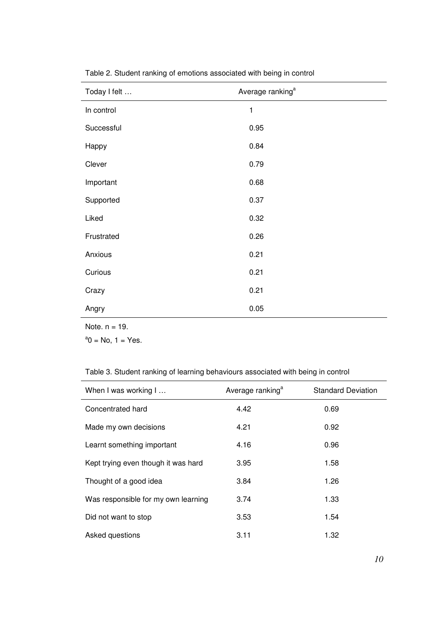| Today I felt | Average ranking <sup>a</sup> |
|--------------|------------------------------|
| In control   | 1                            |
| Successful   | 0.95                         |
| Happy        | 0.84                         |
| Clever       | 0.79                         |
| Important    | 0.68                         |
| Supported    | 0.37                         |
| Liked        | 0.32                         |
| Frustrated   | 0.26                         |
| Anxious      | 0.21                         |
| Curious      | 0.21                         |
| Crazy        | 0.21                         |
| Angry        | 0.05                         |
|              |                              |

Table 2. Student ranking of emotions associated with being in control

Note. n = 19.

 $a_0$  = No, 1 = Yes.

## Table 3. Student ranking of learning behaviours associated with being in control

| When I was working I                | Average ranking <sup>a</sup> | <b>Standard Deviation</b> |
|-------------------------------------|------------------------------|---------------------------|
| Concentrated hard                   | 4.42                         | 0.69                      |
| Made my own decisions               | 4.21                         | 0.92                      |
| Learnt something important          | 4.16                         | 0.96                      |
| Kept trying even though it was hard | 3.95                         | 1.58                      |
| Thought of a good idea              | 3.84                         | 1.26                      |
| Was responsible for my own learning | 3.74                         | 1.33                      |
| Did not want to stop                | 3.53                         | 1.54                      |
| Asked questions                     | 3.11                         | 1.32                      |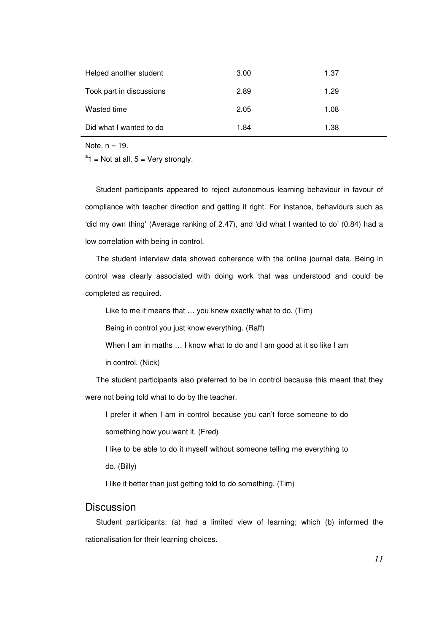| Helped another student   | 3.00 | 1.37 |
|--------------------------|------|------|
| Took part in discussions | 2.89 | 1.29 |
| Wasted time              | 2.05 | 1.08 |
| Did what I wanted to do  | 1.84 | 1.38 |

Note.  $n = 19$ .

 $a_1$  = Not at all, 5 = Very strongly.

Student participants appeared to reject autonomous learning behaviour in favour of compliance with teacher direction and getting it right. For instance, behaviours such as 'did my own thing' (Average ranking of 2.47), and 'did what I wanted to do' (0.84) had a low correlation with being in control.

The student interview data showed coherence with the online journal data. Being in control was clearly associated with doing work that was understood and could be completed as required.

Like to me it means that … you knew exactly what to do. (Tim)

Being in control you just know everything. (Raff)

When I am in maths ... I know what to do and I am good at it so like I am

in control. (Nick)

The student participants also preferred to be in control because this meant that they were not being told what to do by the teacher.

I prefer it when I am in control because you can't force someone to do something how you want it. (Fred)

I like to be able to do it myself without someone telling me everything to do. (Billy)

I like it better than just getting told to do something. (Tim)

## **Discussion**

Student participants: (a) had a limited view of learning; which (b) informed the rationalisation for their learning choices.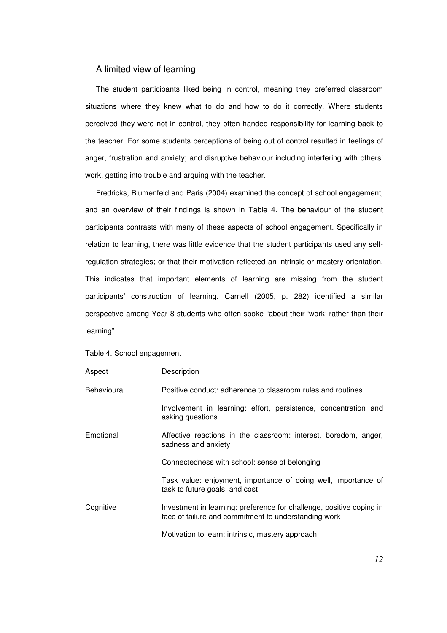#### A limited view of learning

The student participants liked being in control, meaning they preferred classroom situations where they knew what to do and how to do it correctly. Where students perceived they were not in control, they often handed responsibility for learning back to the teacher. For some students perceptions of being out of control resulted in feelings of anger, frustration and anxiety; and disruptive behaviour including interfering with others' work, getting into trouble and arguing with the teacher.

Fredricks, Blumenfeld and Paris (2004) examined the concept of school engagement, and an overview of their findings is shown in Table 4. The behaviour of the student participants contrasts with many of these aspects of school engagement. Specifically in relation to learning, there was little evidence that the student participants used any selfregulation strategies; or that their motivation reflected an intrinsic or mastery orientation. This indicates that important elements of learning are missing from the student participants' construction of learning. Carnell (2005, p. 282) identified a similar perspective among Year 8 students who often spoke "about their 'work' rather than their learning".

| Aspect      | Description                                                                                                                  |
|-------------|------------------------------------------------------------------------------------------------------------------------------|
| Behavioural | Positive conduct: adherence to classroom rules and routines                                                                  |
|             | Involvement in learning: effort, persistence, concentration and<br>asking questions                                          |
| Emotional   | Affective reactions in the classroom: interest, boredom, anger,<br>sadness and anxiety                                       |
|             | Connectedness with school: sense of belonging                                                                                |
|             | Task value: enjoyment, importance of doing well, importance of<br>task to future goals, and cost                             |
| Cognitive   | Investment in learning: preference for challenge, positive coping in<br>face of failure and commitment to understanding work |
|             | Motivation to learn: intrinsic, mastery approach                                                                             |

Table 4. School engagement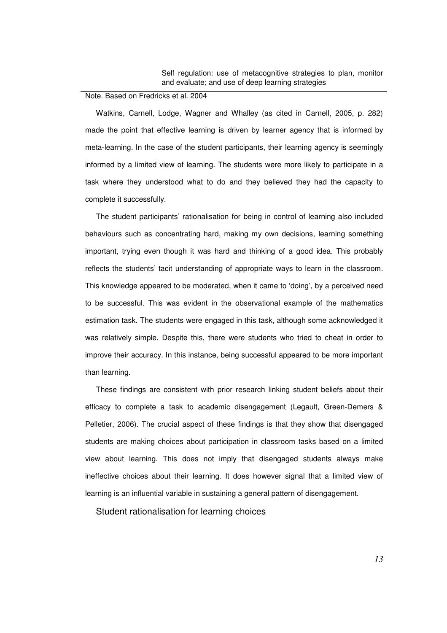#### Note. Based on Fredricks et al. 2004

Watkins, Carnell, Lodge, Wagner and Whalley (as cited in Carnell, 2005, p. 282) made the point that effective learning is driven by learner agency that is informed by meta-learning. In the case of the student participants, their learning agency is seemingly informed by a limited view of learning. The students were more likely to participate in a task where they understood what to do and they believed they had the capacity to complete it successfully.

The student participants' rationalisation for being in control of learning also included behaviours such as concentrating hard, making my own decisions, learning something important, trying even though it was hard and thinking of a good idea. This probably reflects the students' tacit understanding of appropriate ways to learn in the classroom. This knowledge appeared to be moderated, when it came to 'doing', by a perceived need to be successful. This was evident in the observational example of the mathematics estimation task. The students were engaged in this task, although some acknowledged it was relatively simple. Despite this, there were students who tried to cheat in order to improve their accuracy. In this instance, being successful appeared to be more important than learning.

These findings are consistent with prior research linking student beliefs about their efficacy to complete a task to academic disengagement (Legault, Green-Demers & Pelletier, 2006). The crucial aspect of these findings is that they show that disengaged students are making choices about participation in classroom tasks based on a limited view about learning. This does not imply that disengaged students always make ineffective choices about their learning. It does however signal that a limited view of learning is an influential variable in sustaining a general pattern of disengagement.

Student rationalisation for learning choices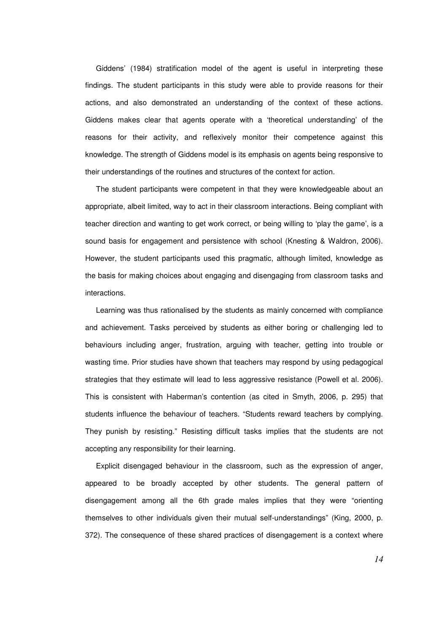Giddens' (1984) stratification model of the agent is useful in interpreting these findings. The student participants in this study were able to provide reasons for their actions, and also demonstrated an understanding of the context of these actions. Giddens makes clear that agents operate with a 'theoretical understanding' of the reasons for their activity, and reflexively monitor their competence against this knowledge. The strength of Giddens model is its emphasis on agents being responsive to their understandings of the routines and structures of the context for action.

The student participants were competent in that they were knowledgeable about an appropriate, albeit limited, way to act in their classroom interactions. Being compliant with teacher direction and wanting to get work correct, or being willing to 'play the game', is a sound basis for engagement and persistence with school (Knesting & Waldron, 2006). However, the student participants used this pragmatic, although limited, knowledge as the basis for making choices about engaging and disengaging from classroom tasks and interactions.

Learning was thus rationalised by the students as mainly concerned with compliance and achievement. Tasks perceived by students as either boring or challenging led to behaviours including anger, frustration, arguing with teacher, getting into trouble or wasting time. Prior studies have shown that teachers may respond by using pedagogical strategies that they estimate will lead to less aggressive resistance (Powell et al. 2006). This is consistent with Haberman's contention (as cited in Smyth, 2006, p. 295) that students influence the behaviour of teachers. "Students reward teachers by complying. They punish by resisting." Resisting difficult tasks implies that the students are not accepting any responsibility for their learning.

Explicit disengaged behaviour in the classroom, such as the expression of anger, appeared to be broadly accepted by other students. The general pattern of disengagement among all the 6th grade males implies that they were "orienting themselves to other individuals given their mutual self-understandings" (King, 2000, p. 372). The consequence of these shared practices of disengagement is a context where

*14*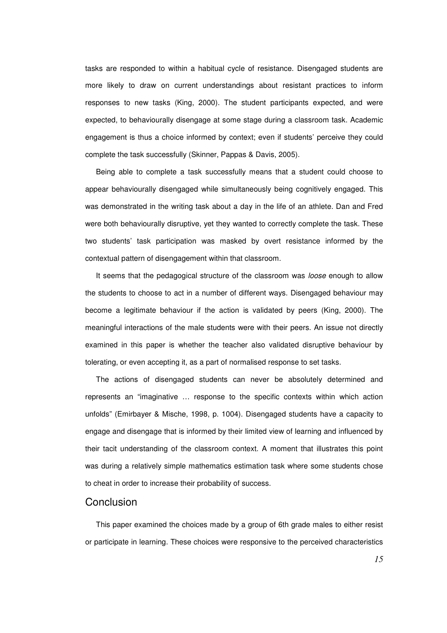tasks are responded to within a habitual cycle of resistance. Disengaged students are more likely to draw on current understandings about resistant practices to inform responses to new tasks (King, 2000). The student participants expected, and were expected, to behaviourally disengage at some stage during a classroom task. Academic engagement is thus a choice informed by context; even if students' perceive they could complete the task successfully (Skinner, Pappas & Davis, 2005).

Being able to complete a task successfully means that a student could choose to appear behaviourally disengaged while simultaneously being cognitively engaged. This was demonstrated in the writing task about a day in the life of an athlete. Dan and Fred were both behaviourally disruptive, yet they wanted to correctly complete the task. These two students' task participation was masked by overt resistance informed by the contextual pattern of disengagement within that classroom.

It seems that the pedagogical structure of the classroom was *loose* enough to allow the students to choose to act in a number of different ways. Disengaged behaviour may become a legitimate behaviour if the action is validated by peers (King, 2000). The meaningful interactions of the male students were with their peers. An issue not directly examined in this paper is whether the teacher also validated disruptive behaviour by tolerating, or even accepting it, as a part of normalised response to set tasks.

The actions of disengaged students can never be absolutely determined and represents an "imaginative … response to the specific contexts within which action unfolds" (Emirbayer & Mische, 1998, p. 1004). Disengaged students have a capacity to engage and disengage that is informed by their limited view of learning and influenced by their tacit understanding of the classroom context. A moment that illustrates this point was during a relatively simple mathematics estimation task where some students chose to cheat in order to increase their probability of success.

#### **Conclusion**

This paper examined the choices made by a group of 6th grade males to either resist or participate in learning. These choices were responsive to the perceived characteristics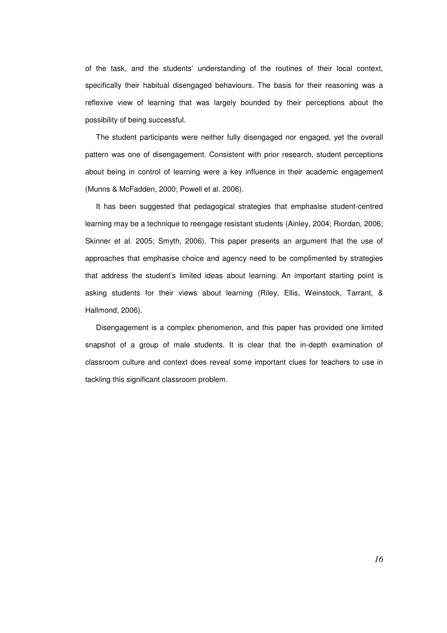of the task, and the students' understanding of the routines of their local context, specifically their habitual disengaged behaviours. The basis for their reasoning was a reflexive view of learning that was largely bounded by their perceptions about the possibility of being successful.

The student participants were neither fully disengaged nor engaged, yet the overall pattern was one of disengagement. Consistent with prior research, student perceptions about being in control of learning were a key influence in their academic engagement (Munns & McFadden, 2000; Powell et al. 2006).

It has been suggested that pedagogical strategies that emphasise student-centred learning may be a technique to reengage resistant students (Ainley, 2004; Riordan, 2006; Skinner et al. 2005; Smyth, 2006). This paper presents an argument that the use of approaches that emphasise choice and agency need to be complimented by strategies that address the student's limited ideas about learning. An important starting point is asking students for their views about learning (Riley, Ellis, Weinstock, Tarrant, & Hallmond, 2006).

Disengagement is a complex phenomenon, and this paper has provided one limited snapshot of a group of male students. It is clear that the in-depth examination of classroom culture and context does reveal some important clues for teachers to use in tackling this significant classroom problem.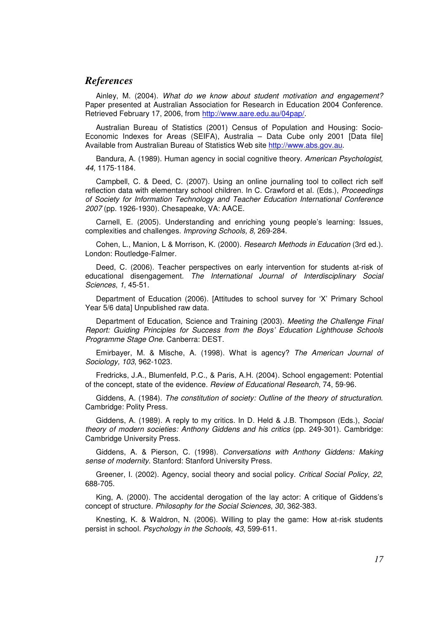## *References*

Ainley, M. (2004). What do we know about student motivation and engagement? Paper presented at Australian Association for Research in Education 2004 Conference. Retrieved February 17, 2006, from http://www.aare.edu.au/04pap/.

Australian Bureau of Statistics (2001) Census of Population and Housing: Socio-Economic Indexes for Areas (SEIFA), Australia – Data Cube only 2001 [Data file] Available from Australian Bureau of Statistics Web site http://www.abs.gov.au.

Bandura, A. (1989). Human agency in social cognitive theory. American Psychologist, 44, 1175-1184.

Campbell, C. & Deed, C. (2007). Using an online journaling tool to collect rich self reflection data with elementary school children. In C. Crawford et al. (Eds.), Proceedings of Society for Information Technology and Teacher Education International Conference 2007 (pp. 1926-1930). Chesapeake, VA: AACE.

Carnell, E. (2005). Understanding and enriching young people's learning: Issues, complexities and challenges. Improving Schools, 8, 269-284.

Cohen, L., Manion, L & Morrison, K. (2000). Research Methods in Education (3rd ed.). London: Routledge-Falmer.

Deed, C. (2006). Teacher perspectives on early intervention for students at-risk of educational disengagement. The International Journal of Interdisciplinary Social Sciences, 1, 45-51.

Department of Education (2006). [Attitudes to school survey for 'X' Primary School Year 5/6 data] Unpublished raw data.

Department of Education, Science and Training (2003). Meeting the Challenge Final Report: Guiding Principles for Success from the Boys' Education Lighthouse Schools Programme Stage One. Canberra: DEST.

Emirbayer, M. & Mische, A. (1998). What is agency? The American Journal of Sociology, 103, 962-1023.

Fredricks, J.A., Blumenfeld, P.C., & Paris, A.H. (2004). School engagement: Potential of the concept, state of the evidence. Review of Educational Research, 74, 59-96.

Giddens, A. (1984). The constitution of society: Outline of the theory of structuration. Cambridge: Polity Press.

Giddens, A. (1989). A reply to my critics. In D. Held & J.B. Thompson (Eds.), Social theory of modern societies: Anthony Giddens and his critics (pp. 249-301). Cambridge: Cambridge University Press.

Giddens, A. & Pierson, C. (1998). Conversations with Anthony Giddens: Making sense of modernity. Stanford: Stanford University Press.

Greener, I. (2002). Agency, social theory and social policy. Critical Social Policy, 22, 688-705.

King, A. (2000). The accidental derogation of the lay actor: A critique of Giddens's concept of structure. Philosophy for the Social Sciences, 30, 362-383.

Knesting, K. & Waldron, N. (2006). Willing to play the game: How at-risk students persist in school. Psychology in the Schools, 43, 599-611.